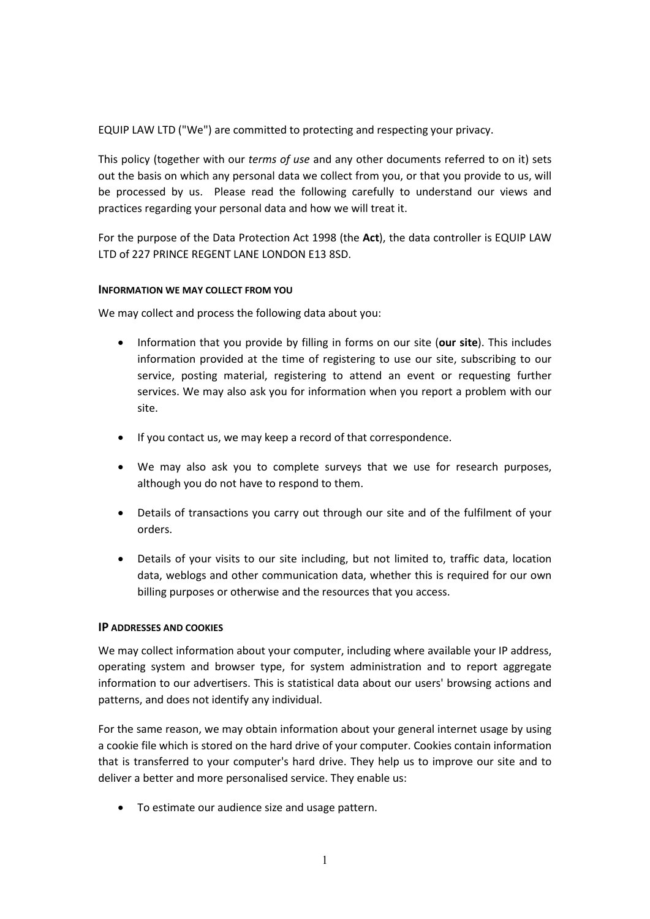EQUIP LAW LTD ("We") are committed to protecting and respecting your privacy.

This policy (together with our *terms of use* and any other documents referred to on it) sets out the basis on which any personal data we collect from you, or that you provide to us, will be processed by us. Please read the following carefully to understand our views and practices regarding your personal data and how we will treat it.

For the purpose of the Data Protection Act 1998 (the **Act**), the data controller is EQUIP LAW LTD of 227 PRINCE REGENT LANE LONDON E13 8SD.

## **INFORMATION WE MAY COLLECT FROM YOU**

We may collect and process the following data about you:

- Information that you provide by filling in forms on our site (**our site**). This includes information provided at the time of registering to use our site, subscribing to our service, posting material, registering to attend an event or requesting further services. We may also ask you for information when you report a problem with our site.
- If you contact us, we may keep a record of that correspondence.
- We may also ask you to complete surveys that we use for research purposes, although you do not have to respond to them.
- Details of transactions you carry out through our site and of the fulfilment of your orders.
- Details of your visits to our site including, but not limited to, traffic data, location data, weblogs and other communication data, whether this is required for our own billing purposes or otherwise and the resources that you access.

## **IP ADDRESSES AND COOKIES**

We may collect information about your computer, including where available your IP address, operating system and browser type, for system administration and to report aggregate information to our advertisers. This is statistical data about our users' browsing actions and patterns, and does not identify any individual.

For the same reason, we may obtain information about your general internet usage by using a cookie file which is stored on the hard drive of your computer. Cookies contain information that is transferred to your computer's hard drive. They help us to improve our site and to deliver a better and more personalised service. They enable us:

• To estimate our audience size and usage pattern.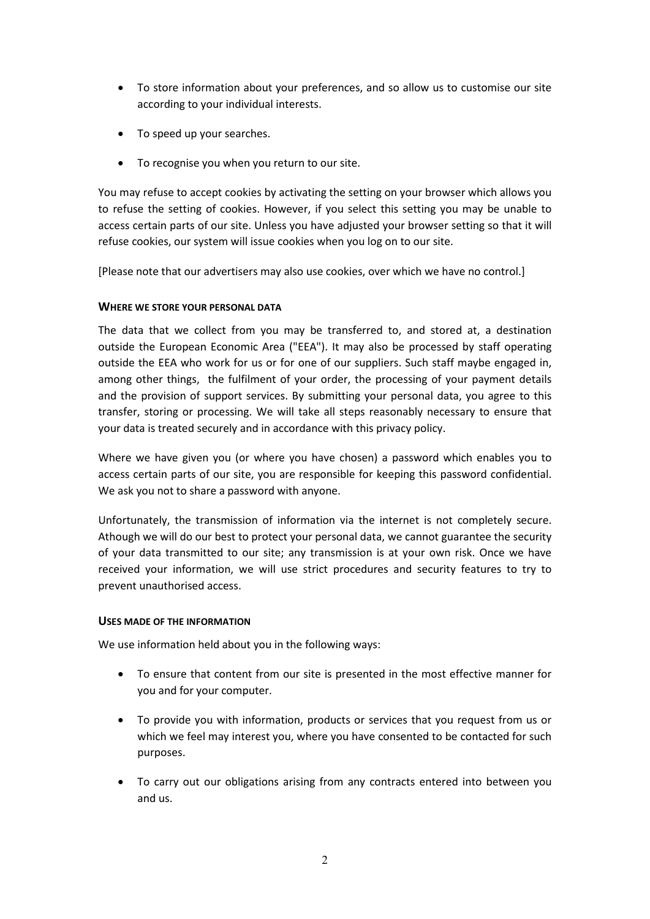- To store information about your preferences, and so allow us to customise our site according to your individual interests.
- To speed up your searches.
- To recognise you when you return to our site.

You may refuse to accept cookies by activating the setting on your browser which allows you to refuse the setting of cookies. However, if you select this setting you may be unable to access certain parts of our site. Unless you have adjusted your browser setting so that it will refuse cookies, our system will issue cookies when you log on to our site.

[Please note that our advertisers may also use cookies, over which we have no control.]

# **WHERE WE STORE YOUR PERSONAL DATA**

The data that we collect from you may be transferred to, and stored at, a destination outside the European Economic Area ("EEA"). It may also be processed by staff operating outside the EEA who work for us or for one of our suppliers. Such staff maybe engaged in, among other things, the fulfilment of your order, the processing of your payment details and the provision of support services. By submitting your personal data, you agree to this transfer, storing or processing. We will take all steps reasonably necessary to ensure that your data is treated securely and in accordance with this privacy policy.

Where we have given you (or where you have chosen) a password which enables you to access certain parts of our site, you are responsible for keeping this password confidential. We ask you not to share a password with anyone.

Unfortunately, the transmission of information via the internet is not completely secure. Athough we will do our best to protect your personal data, we cannot guarantee the security of your data transmitted to our site; any transmission is at your own risk. Once we have received your information, we will use strict procedures and security features to try to prevent unauthorised access.

## **USES MADE OF THE INFORMATION**

We use information held about you in the following ways:

- To ensure that content from our site is presented in the most effective manner for you and for your computer.
- To provide you with information, products or services that you request from us or which we feel may interest you, where you have consented to be contacted for such purposes.
- To carry out our obligations arising from any contracts entered into between you and us.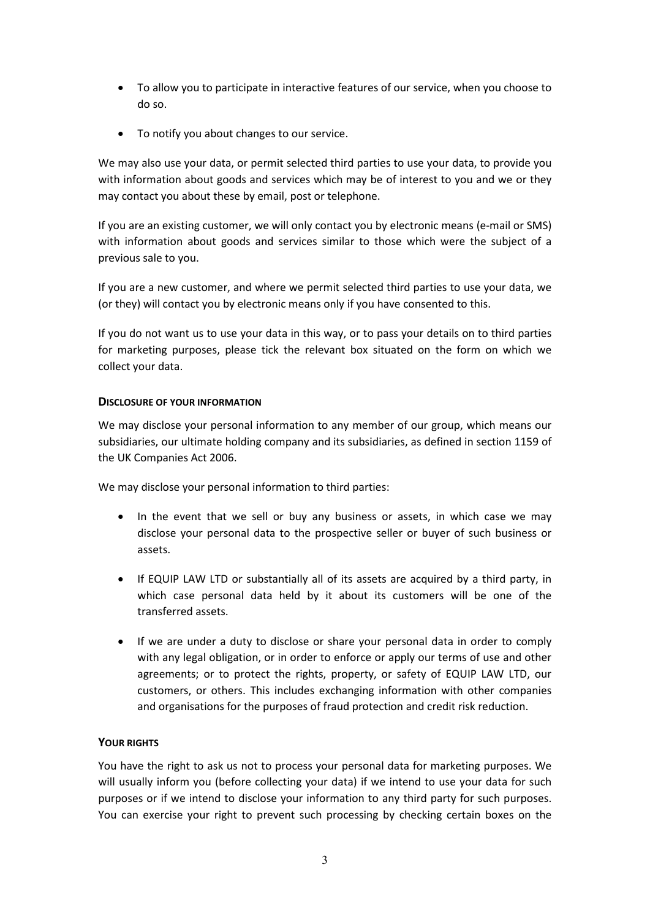- To allow you to participate in interactive features of our service, when you choose to do so.
- To notify you about changes to our service.

We may also use your data, or permit selected third parties to use your data, to provide you with information about goods and services which may be of interest to you and we or they may contact you about these by email, post or telephone.

If you are an existing customer, we will only contact you by electronic means (e-mail or SMS) with information about goods and services similar to those which were the subject of a previous sale to you.

If you are a new customer, and where we permit selected third parties to use your data, we (or they) will contact you by electronic means only if you have consented to this.

If you do not want us to use your data in this way, or to pass your details on to third parties for marketing purposes, please tick the relevant box situated on the form on which we collect your data.

## **DISCLOSURE OF YOUR INFORMATION**

We may disclose your personal information to any member of our group, which means our subsidiaries, our ultimate holding company and its subsidiaries, as defined in section 1159 of the UK Companies Act 2006.

We may disclose your personal information to third parties:

- In the event that we sell or buy any business or assets, in which case we may disclose your personal data to the prospective seller or buyer of such business or assets.
- If EQUIP LAW LTD or substantially all of its assets are acquired by a third party, in which case personal data held by it about its customers will be one of the transferred assets.
- If we are under a duty to disclose or share your personal data in order to comply with any legal obligation, or in order to enforce or apply our terms of use and other agreements; or to protect the rights, property, or safety of EQUIP LAW LTD, our customers, or others. This includes exchanging information with other companies and organisations for the purposes of fraud protection and credit risk reduction.

## **YOUR RIGHTS**

You have the right to ask us not to process your personal data for marketing purposes. We will usually inform you (before collecting your data) if we intend to use your data for such purposes or if we intend to disclose your information to any third party for such purposes. You can exercise your right to prevent such processing by checking certain boxes on the